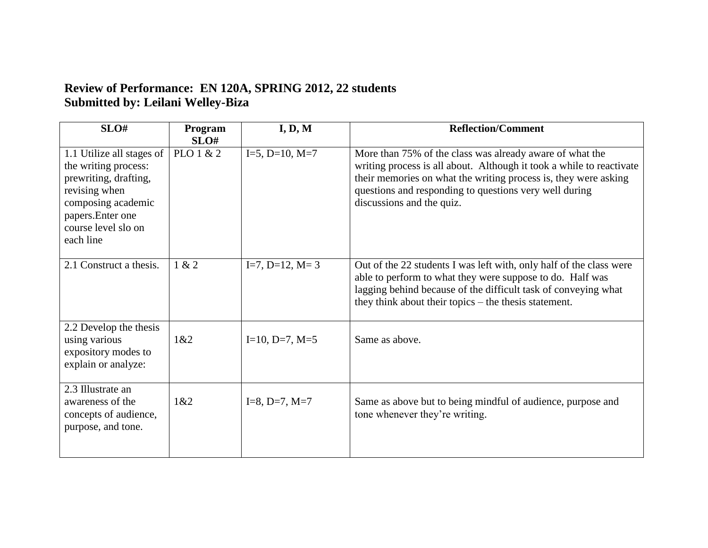## **Review of Performance: EN 120A, SPRING 2012, 22 students Submitted by: Leilani Welley-Biza**

| SLO#                                                                                                                                                                       | Program<br>SLO# | I, D, M                | <b>Reflection/Comment</b>                                                                                                                                                                                                                                                                  |
|----------------------------------------------------------------------------------------------------------------------------------------------------------------------------|-----------------|------------------------|--------------------------------------------------------------------------------------------------------------------------------------------------------------------------------------------------------------------------------------------------------------------------------------------|
| 1.1 Utilize all stages of<br>the writing process:<br>prewriting, drafting,<br>revising when<br>composing academic<br>papers. Enter one<br>course level slo on<br>each line | PLO 1 & 2       | $I=5$ , $D=10$ , $M=7$ | More than 75% of the class was already aware of what the<br>writing process is all about. Although it took a while to reactivate<br>their memories on what the writing process is, they were asking<br>questions and responding to questions very well during<br>discussions and the quiz. |
| 2.1 Construct a thesis.                                                                                                                                                    | 1 & 2           | $I=7, D=12, M=3$       | Out of the 22 students I was left with, only half of the class were<br>able to perform to what they were suppose to do. Half was<br>lagging behind because of the difficult task of conveying what<br>they think about their topics – the thesis statement.                                |
| 2.2 Develop the thesis<br>using various<br>expository modes to<br>explain or analyze:                                                                                      | 1&82            | $I=10, D=7, M=5$       | Same as above.                                                                                                                                                                                                                                                                             |
| 2.3 Illustrate an<br>awareness of the<br>concepts of audience,<br>purpose, and tone.                                                                                       | 1&82            | $I=8, D=7, M=7$        | Same as above but to being mindful of audience, purpose and<br>tone whenever they're writing.                                                                                                                                                                                              |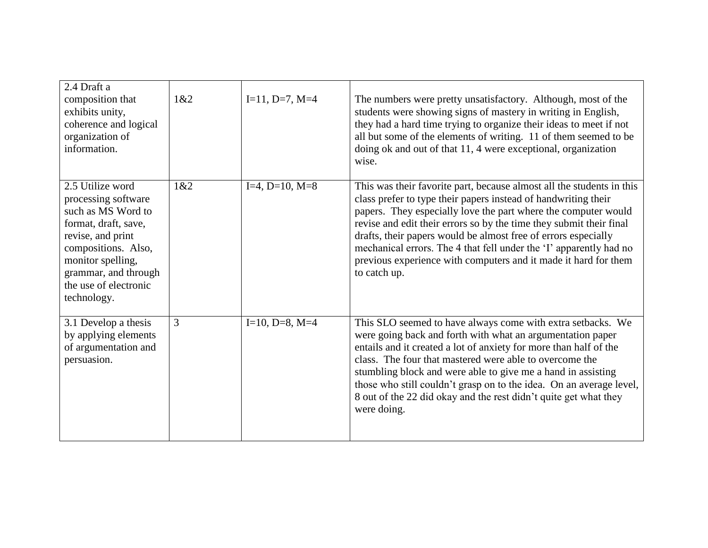| 2.4 Draft a<br>composition that<br>exhibits unity,<br>coherence and logical<br>organization of<br>information.                                                                                                         | 1&2 | $I=11, D=7, M=4$       | The numbers were pretty unsatisfactory. Although, most of the<br>students were showing signs of mastery in writing in English,<br>they had a hard time trying to organize their ideas to meet if not<br>all but some of the elements of writing. 11 of them seemed to be<br>doing ok and out of that 11, 4 were exceptional, organization<br>wise.                                                                                                                                                          |
|------------------------------------------------------------------------------------------------------------------------------------------------------------------------------------------------------------------------|-----|------------------------|-------------------------------------------------------------------------------------------------------------------------------------------------------------------------------------------------------------------------------------------------------------------------------------------------------------------------------------------------------------------------------------------------------------------------------------------------------------------------------------------------------------|
| 2.5 Utilize word<br>processing software<br>such as MS Word to<br>format, draft, save,<br>revise, and print<br>compositions. Also,<br>monitor spelling,<br>grammar, and through<br>the use of electronic<br>technology. | 1&2 | $I=4, D=10, M=8$       | This was their favorite part, because almost all the students in this<br>class prefer to type their papers instead of handwriting their<br>papers. They especially love the part where the computer would<br>revise and edit their errors so by the time they submit their final<br>drafts, their papers would be almost free of errors especially<br>mechanical errors. The 4 that fell under the 'I' apparently had no<br>previous experience with computers and it made it hard for them<br>to catch up. |
| 3.1 Develop a thesis<br>by applying elements<br>of argumentation and<br>persuasion.                                                                                                                                    | 3   | $I=10$ , $D=8$ , $M=4$ | This SLO seemed to have always come with extra setbacks. We<br>were going back and forth with what an argumentation paper<br>entails and it created a lot of anxiety for more than half of the<br>class. The four that mastered were able to overcome the<br>stumbling block and were able to give me a hand in assisting<br>those who still couldn't grasp on to the idea. On an average level,<br>8 out of the 22 did okay and the rest didn't quite get what they<br>were doing.                         |